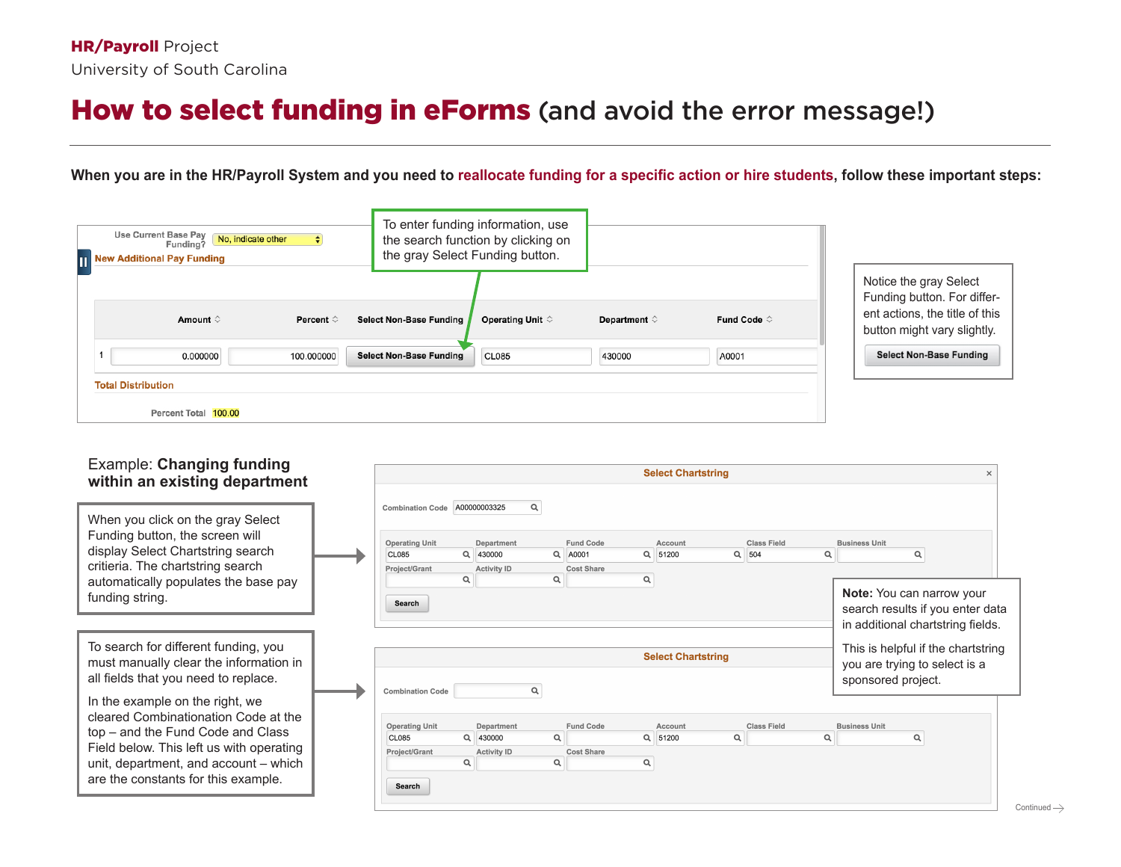## How to select funding in eForms (and avoid the error message!)

## **When you are in the HR/Payroll System and you need to reallocate funding for a specific action or hire students, follow these important steps:**

| <b>Use Current Base Pay</b><br>No, indicate other<br>Funding?<br><b>T1 New Additional Pay Funding</b> | To enter funding information, use<br>the search function by clicking on<br>the gray Select Funding button. |              |                      |                                                                                                                        |
|-------------------------------------------------------------------------------------------------------|------------------------------------------------------------------------------------------------------------|--------------|----------------------|------------------------------------------------------------------------------------------------------------------------|
| Amount $\diamond$<br>Percent ♡                                                                        | Operating Unit $\diamond$<br><b>Select Non-Base Funding</b>                                                | Department ♡ | Fund Code $\Diamond$ | Notice the gray Select<br>Funding button. For differ-<br>ent actions, the title of this<br>button might vary slightly. |
| 0.000000<br>100.000000<br><b>Total Distribution</b>                                                   | <b>Select Non-Base Funding</b><br><b>CL085</b>                                                             | 430000       | A0001                | <b>Select Non-Base Funding</b>                                                                                         |
| Percent Total 100.00                                                                                  |                                                                                                            |              |                      |                                                                                                                        |

## Example: **Changing funding within an existing department**

| <u>WILLIUT and Capting acpartment</u>                                                                                                                                                                     |                                                                                             |               |                                                                           |                                                |   |                           |                             |   |                                                                                                   |
|-----------------------------------------------------------------------------------------------------------------------------------------------------------------------------------------------------------|---------------------------------------------------------------------------------------------|---------------|---------------------------------------------------------------------------|------------------------------------------------|---|---------------------------|-----------------------------|---|---------------------------------------------------------------------------------------------------|
| When you click on the gray Select<br>Funding button, the screen will<br>display Select Chartstring search<br>critieria. The chartstring search<br>automatically populates the base pay<br>funding string. | <b>Combination Code</b><br><b>Operating Unit</b><br><b>CL085</b><br>Project/Grant<br>Search | $\alpha$<br>Q | A00000003325<br>Q<br>Department<br>$\alpha$<br>430000<br>Activity ID<br>Q | <b>Fund Code</b><br>A0001<br><b>Cost Share</b> | Q | Account<br>Q 51200        | <b>Class Field</b><br>Q 504 | Q | <b>Business Unit</b><br>$\alpha$<br>Note: You can narrow your<br>search results if you enter data |
|                                                                                                                                                                                                           |                                                                                             |               |                                                                           |                                                |   |                           |                             |   | in additional chartstring fields.                                                                 |
| To search for different funding, you<br>must manually clear the information in<br>all fields that you need to replace.                                                                                    | <b>Combination Code</b>                                                                     |               |                                                                           |                                                |   | <b>Select Chartstring</b> |                             |   | This is helpful if the chartstring<br>you are trying to select is a<br>sponsored project.         |
| In the example on the right, we                                                                                                                                                                           |                                                                                             |               |                                                                           |                                                |   |                           |                             |   |                                                                                                   |
| cleared Combinationation Code at the                                                                                                                                                                      | <b>Operating Unit</b>                                                                       |               | Department                                                                | <b>Fund Code</b>                               |   | Account                   | <b>Class Field</b>          |   | <b>Business Unit</b>                                                                              |
| top – and the Fund Code and Class                                                                                                                                                                         | <b>CL085</b>                                                                                |               | Q 430000<br>$\alpha$                                                      |                                                |   | Q<br>Q 51200              |                             | Q | Q                                                                                                 |
| Field below. This left us with operating                                                                                                                                                                  | Project/Grant                                                                               |               | <b>Activity ID</b>                                                        | <b>Cost Share</b>                              |   |                           |                             |   |                                                                                                   |
| unit, department, and account - which<br>are the constants for this example.                                                                                                                              | Search                                                                                      | $\alpha$      | Q                                                                         |                                                | Q |                           |                             |   |                                                                                                   |
|                                                                                                                                                                                                           |                                                                                             |               |                                                                           |                                                |   |                           |                             |   |                                                                                                   |

**Select Chartstring** 

 $\bar{\mathsf{x}}$